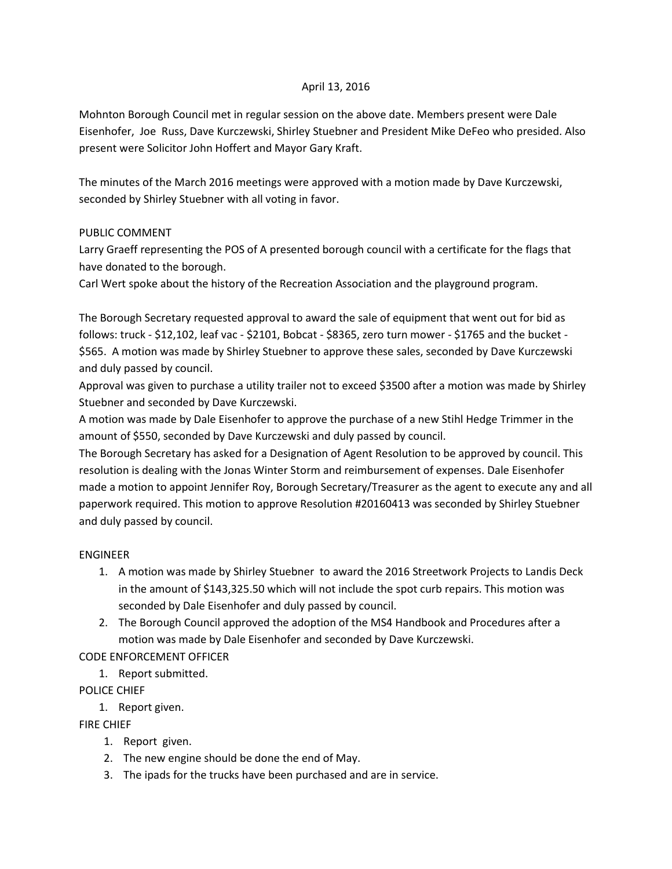## April 13, 2016

Mohnton Borough Council met in regular session on the above date. Members present were Dale Eisenhofer, Joe Russ, Dave Kurczewski, Shirley Stuebner and President Mike DeFeo who presided. Also present were Solicitor John Hoffert and Mayor Gary Kraft.

The minutes of the March 2016 meetings were approved with a motion made by Dave Kurczewski, seconded by Shirley Stuebner with all voting in favor.

#### PUBLIC COMMENT

Larry Graeff representing the POS of A presented borough council with a certificate for the flags that have donated to the borough.

Carl Wert spoke about the history of the Recreation Association and the playground program.

The Borough Secretary requested approval to award the sale of equipment that went out for bid as follows: truck - \$12,102, leaf vac - \$2101, Bobcat - \$8365, zero turn mower - \$1765 and the bucket - \$565. A motion was made by Shirley Stuebner to approve these sales, seconded by Dave Kurczewski and duly passed by council.

Approval was given to purchase a utility trailer not to exceed \$3500 after a motion was made by Shirley Stuebner and seconded by Dave Kurczewski.

A motion was made by Dale Eisenhofer to approve the purchase of a new Stihl Hedge Trimmer in the amount of \$550, seconded by Dave Kurczewski and duly passed by council.

The Borough Secretary has asked for a Designation of Agent Resolution to be approved by council. This resolution is dealing with the Jonas Winter Storm and reimbursement of expenses. Dale Eisenhofer made a motion to appoint Jennifer Roy, Borough Secretary/Treasurer as the agent to execute any and all paperwork required. This motion to approve Resolution #20160413 was seconded by Shirley Stuebner and duly passed by council.

#### ENGINEER

- 1. A motion was made by Shirley Stuebner to award the 2016 Streetwork Projects to Landis Deck in the amount of \$143,325.50 which will not include the spot curb repairs. This motion was seconded by Dale Eisenhofer and duly passed by council.
- 2. The Borough Council approved the adoption of the MS4 Handbook and Procedures after a motion was made by Dale Eisenhofer and seconded by Dave Kurczewski.

# CODE ENFORCEMENT OFFICER

1. Report submitted.

# POLICE CHIEF

1. Report given.

FIRE CHIEF

- 1. Report given.
- 2. The new engine should be done the end of May.
- 3. The ipads for the trucks have been purchased and are in service.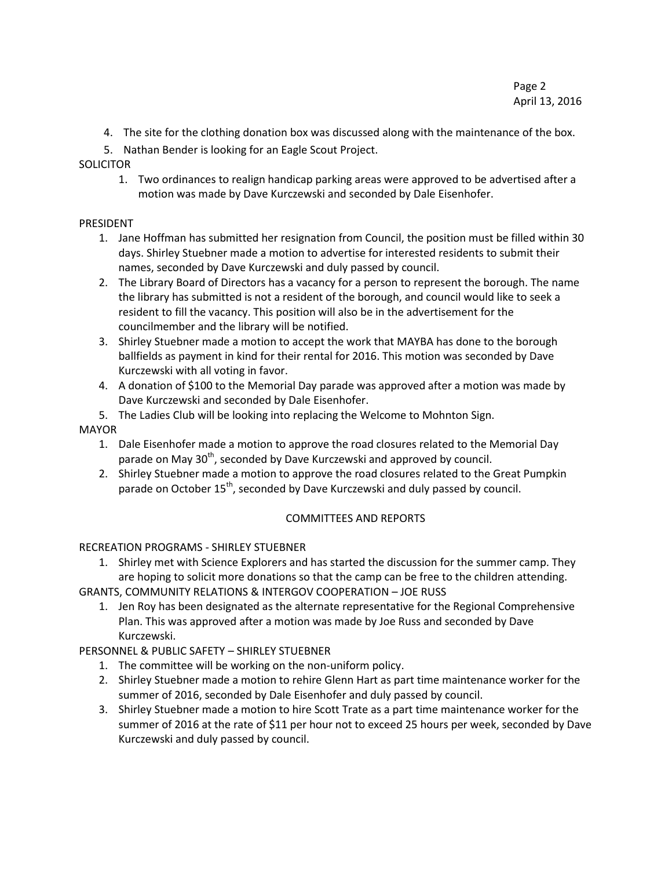- 4. The site for the clothing donation box was discussed along with the maintenance of the box.
- 5. Nathan Bender is looking for an Eagle Scout Project.
- **SOLICITOR** 
	- 1. Two ordinances to realign handicap parking areas were approved to be advertised after a motion was made by Dave Kurczewski and seconded by Dale Eisenhofer.

## PRESIDENT

- 1. Jane Hoffman has submitted her resignation from Council, the position must be filled within 30 days. Shirley Stuebner made a motion to advertise for interested residents to submit their names, seconded by Dave Kurczewski and duly passed by council.
- 2. The Library Board of Directors has a vacancy for a person to represent the borough. The name the library has submitted is not a resident of the borough, and council would like to seek a resident to fill the vacancy. This position will also be in the advertisement for the councilmember and the library will be notified.
- 3. Shirley Stuebner made a motion to accept the work that MAYBA has done to the borough ballfields as payment in kind for their rental for 2016. This motion was seconded by Dave Kurczewski with all voting in favor.
- 4. A donation of \$100 to the Memorial Day parade was approved after a motion was made by Dave Kurczewski and seconded by Dale Eisenhofer.
- 5. The Ladies Club will be looking into replacing the Welcome to Mohnton Sign.

## MAYOR

- 1. Dale Eisenhofer made a motion to approve the road closures related to the Memorial Day parade on May 30<sup>th</sup>, seconded by Dave Kurczewski and approved by council.
- 2. Shirley Stuebner made a motion to approve the road closures related to the Great Pumpkin parade on October 15<sup>th</sup>, seconded by Dave Kurczewski and duly passed by council.

# COMMITTEES AND REPORTS

# RECREATION PROGRAMS - SHIRLEY STUEBNER

- 1. Shirley met with Science Explorers and has started the discussion for the summer camp. They are hoping to solicit more donations so that the camp can be free to the children attending.
- GRANTS, COMMUNITY RELATIONS & INTERGOV COOPERATION JOE RUSS
	- 1. Jen Roy has been designated as the alternate representative for the Regional Comprehensive Plan. This was approved after a motion was made by Joe Russ and seconded by Dave Kurczewski.

# PERSONNEL & PUBLIC SAFETY – SHIRLEY STUEBNER

- 1. The committee will be working on the non-uniform policy.
- 2. Shirley Stuebner made a motion to rehire Glenn Hart as part time maintenance worker for the summer of 2016, seconded by Dale Eisenhofer and duly passed by council.
- 3. Shirley Stuebner made a motion to hire Scott Trate as a part time maintenance worker for the summer of 2016 at the rate of \$11 per hour not to exceed 25 hours per week, seconded by Dave Kurczewski and duly passed by council.